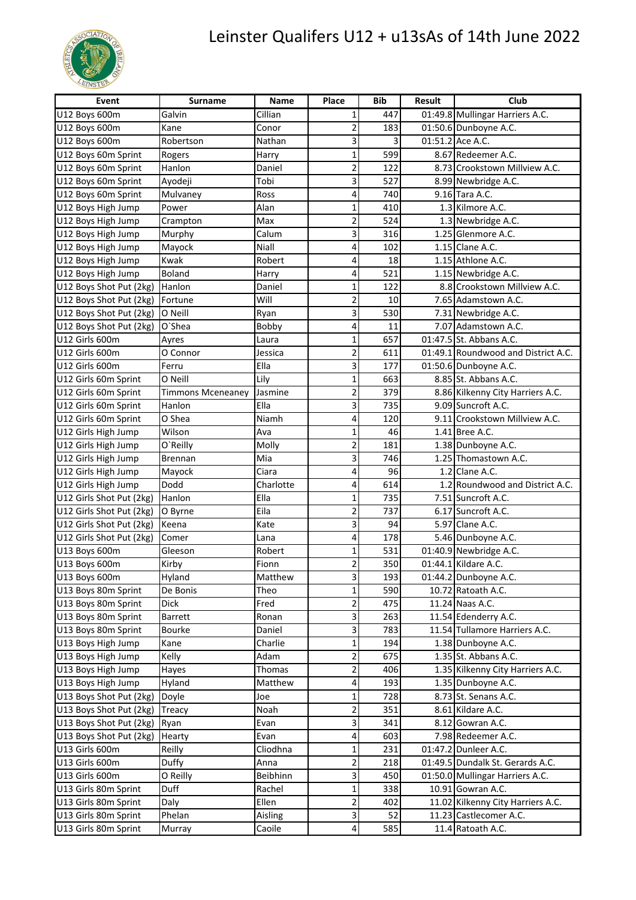

## Leinster Qualifers U12 + u13sAs of 14th June 2022

| Event                    | <b>Surname</b>    | <b>Name</b> | Place                     | <b>Bib</b> | <b>Result</b> | Club                                |
|--------------------------|-------------------|-------------|---------------------------|------------|---------------|-------------------------------------|
| U12 Boys 600m            | Galvin            | Cillian     | 1                         | 447        |               | 01:49.8 Mullingar Harriers A.C.     |
| U12 Boys 600m            | Kane              | Conor       | 2                         | 183        |               | 01:50.6 Dunboyne A.C.               |
| U12 Boys 600m            | Robertson         | Nathan      | 3                         | 3          |               | 01:51.2 Ace A.C.                    |
| U12 Boys 60m Sprint      | Rogers            | Harry       | 1                         | 599        |               | 8.67 Redeemer A.C.                  |
| U12 Boys 60m Sprint      | Hanlon            | Daniel      | $\mathbf 2$               | 122        |               | 8.73 Crookstown Millview A.C.       |
| U12 Boys 60m Sprint      | Ayodeji           | Tobi        | 3                         | 527        |               | 8.99 Newbridge A.C.                 |
| U12 Boys 60m Sprint      | Mulvaney          | Ross        | 4                         | 740        |               | 9.16 Tara A.C.                      |
| U12 Boys High Jump       | Power             | Alan        | 1                         | 410        |               | 1.3 Kilmore A.C.                    |
| U12 Boys High Jump       | Crampton          | Max         | $\overline{\mathbf{c}}$   | 524        |               | 1.3 Newbridge A.C.                  |
| U12 Boys High Jump       | Murphy            | Calum       | 3                         | 316        |               | 1.25 Glenmore A.C.                  |
| U12 Boys High Jump       | Mayock            | Niall       | 4                         | 102        |               | 1.15 Clane A.C.                     |
| U12 Boys High Jump       | Kwak              | Robert      | 4                         | 18         |               | 1.15 Athlone A.C.                   |
| U12 Boys High Jump       | Boland            | Harry       | 4                         | 521        |               | 1.15 Newbridge A.C.                 |
| U12 Boys Shot Put (2kg)  | Hanlon            | Daniel      | 1                         | 122        |               | 8.8 Crookstown Millview A.C.        |
| U12 Boys Shot Put (2kg)  | Fortune           | Will        | $\overline{2}$            | 10         |               | 7.65 Adamstown A.C.                 |
| U12 Boys Shot Put (2kg)  | O Neill           | Ryan        | 3                         | 530        |               | 7.31 Newbridge A.C.                 |
| U12 Boys Shot Put (2kg)  | O'Shea            | Bobby       | 4                         | 11         |               | 7.07 Adamstown A.C.                 |
| U12 Girls 600m           | Ayres             | Laura       | 1                         | 657        |               | 01:47.5 St. Abbans A.C.             |
| U12 Girls 600m           | O Connor          | Jessica     | $\overline{\mathbf{c}}$   | 611        |               | 01:49.1 Roundwood and District A.C. |
| U12 Girls 600m           | Ferru             | Ella        | 3                         | 177        |               | 01:50.6 Dunboyne A.C.               |
| U12 Girls 60m Sprint     | O Neill           | Lily        | $\mathbf 1$               | 663        |               | 8.85 St. Abbans A.C.                |
| U12 Girls 60m Sprint     | Timmons Mceneaney | Jasmine     | $\overline{c}$            | 379        |               | 8.86 Kilkenny City Harriers A.C.    |
| U12 Girls 60m Sprint     | Hanlon            | Ella        | 3                         | 735        |               | 9.09 Suncroft A.C.                  |
| U12 Girls 60m Sprint     | O Shea            | Niamh       | 4                         | 120        |               | 9.11 Crookstown Millview A.C.       |
| U12 Girls High Jump      | Wilson            | Ava         | 1                         | 46         |               | 1.41 Bree A.C.                      |
| U12 Girls High Jump      | O'Reilly          | Molly       | $\overline{\mathbf{c}}$   | 181        |               | 1.38 Dunboyne A.C.                  |
| U12 Girls High Jump      | Brennan           | Mia         | 3                         | 746        |               | 1.25 Thomastown A.C.                |
| U12 Girls High Jump      | Mayock            | Ciara       | 4                         | 96         |               | 1.2 Clane A.C.                      |
| U12 Girls High Jump      | Dodd              | Charlotte   | 4                         | 614        |               | 1.2 Roundwood and District A.C.     |
| U12 Girls Shot Put (2kg) | Hanlon            | Ella        | $\mathbf{1}$              | 735        |               | 7.51 Suncroft A.C.                  |
| U12 Girls Shot Put (2kg) | O Byrne           | Eila        | $\overline{2}$            | 737        |               | 6.17 Suncroft A.C.                  |
| U12 Girls Shot Put (2kg) | Keena             | Kate        | 3                         | 94         |               | 5.97 Clane A.C.                     |
| U12 Girls Shot Put (2kg) | Comer             | Lana        | 4                         | 178        |               | 5.46 Dunboyne A.C.                  |
| U13 Boys 600m            | Gleeson           | Robert      | $\mathbf 1$               | 531        |               | 01:40.9 Newbridge A.C.              |
| U13 Boys 600m            | Kirby             | Fionn       | $\overline{\mathbf{c}}$   | 350        |               | 01:44.1 Kildare A.C.                |
| U13 Boys 600m            | Hyland            | Matthew     | $\ensuremath{\mathsf{3}}$ | 193        |               | 01:44.2 Dunboyne A.C.               |
| U13 Boys 80m Sprint      | De Bonis          | Theo        | 1                         | 590        |               | 10.72 Ratoath A.C.                  |
| U13 Boys 80m Sprint      | <b>Dick</b>       | Fred        | $\mathbf 2$               | 475        |               | 11.24 Naas A.C.                     |
| U13 Boys 80m Sprint      | Barrett           | Ronan       | $\mathsf 3$               | 263        |               | 11.54 Edenderry A.C.                |
| U13 Boys 80m Sprint      | <b>Bourke</b>     | Daniel      | 3                         | 783        |               | 11.54 Tullamore Harriers A.C.       |
| U13 Boys High Jump       | Kane              | Charlie     | 1                         | 194        |               | 1.38 Dunboyne A.C.                  |
| U13 Boys High Jump       | Kelly             | Adam        | $\overline{\mathbf{c}}$   | 675        |               | 1.35 St. Abbans A.C.                |
| U13 Boys High Jump       | Hayes             | Thomas      | $\mathbf 2$               | 406        |               | 1.35 Kilkenny City Harriers A.C.    |
| U13 Boys High Jump       | Hyland            | Matthew     | 4                         | 193        |               | 1.35 Dunboyne A.C.                  |
| U13 Boys Shot Put (2kg)  | Doyle             | Joe         | 1                         | 728        |               | 8.73 St. Senans A.C.                |
| U13 Boys Shot Put (2kg)  | Treacy            | Noah        | $\mathbf 2$               | 351        |               | 8.61 Kildare A.C.                   |
| U13 Boys Shot Put (2kg)  | Ryan              | Evan        | 3                         | 341        |               | 8.12 Gowran A.C.                    |
| U13 Boys Shot Put (2kg)  | Hearty            | Evan        | 4                         | 603        |               | 7.98 Redeemer A.C.                  |
| U13 Girls 600m           | Reilly            | Cliodhna    | 1                         | 231        |               | 01:47.2 Dunleer A.C.                |
| U13 Girls 600m           | Duffy             | Anna        | $\overline{\mathbf{c}}$   | 218        |               | 01:49.5 Dundalk St. Gerards A.C.    |
| U13 Girls 600m           | O Reilly          | Beibhinn    | 3                         | 450        |               | 01:50.0 Mullingar Harriers A.C.     |
| U13 Girls 80m Sprint     | Duff              | Rachel      | $\mathbf 1$               | 338        |               | 10.91 Gowran A.C.                   |
| U13 Girls 80m Sprint     | Daly              | Ellen       | $\overline{2}$            | 402        |               | 11.02 Kilkenny City Harriers A.C.   |
| U13 Girls 80m Sprint     | Phelan            | Aisling     | 3                         | 52         |               | 11.23 Castlecomer A.C.              |
| U13 Girls 80m Sprint     | Murray            | Caoile      | 4                         | 585        |               | 11.4 Ratoath A.C.                   |